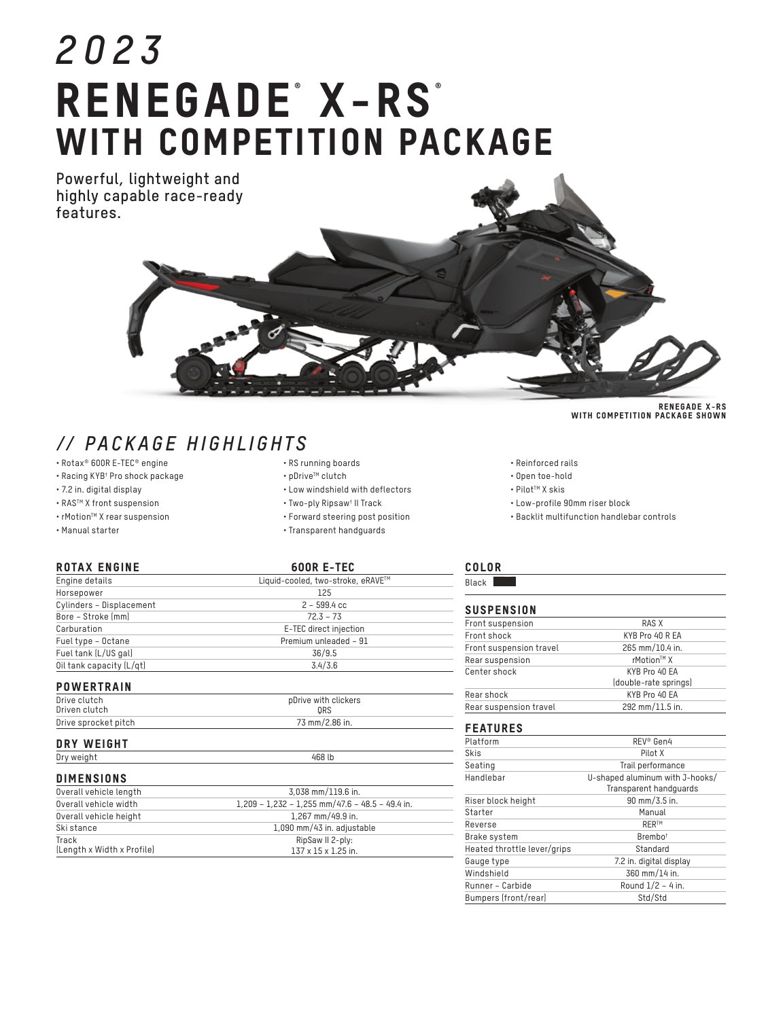# *2023* RENEGADE<sup>®</sup> X-RS<sup>®</sup> WITH COMPETITION PACKAGE

**Powerful, lightweight and highly capable race-ready features.**



- Rotax® 600R E-TEC® engine
- Racing KYB† Pro shock package
- 7.2 in. digital display
- RASTM X front suspension
- rMotionTM X rear suspension
- Manual starter

| • RSTUITHIIY DUCTUS |  |  |  |
|---------------------|--|--|--|
|                     |  |  |  |

- pDriveTM clutch
- Low windshield with deflectors
- Two-ply Ripsaw† II Track
- Forward steering post position
- Transparent handguards

#### ROTAX ENGINE 600R E-TEC

| Engine details           | Liquid-cooled, two-stroke, eRAVE™ |
|--------------------------|-----------------------------------|
| Horsepower               | 125                               |
| Cylinders – Displacement | $2 - 599.4$ cc                    |
| Bore – Stroke (mm)       | $72.3 - 73$                       |
| Carburation              | E-TEC direct injection            |
| Fuel type – Octane       | Premium unleaded - 91             |
| Fuel tank (L/US gal)     | 36/9.5                            |
| Oil tank capacity (L/qt) | 3.4/3.6                           |
|                          |                                   |

### **POWERTRAIN**

| Drive clutch         | pDrive with clickers |
|----------------------|----------------------|
| Driven clutch        | ORS                  |
| Drive sprocket pitch | 73 mm/2.86 in.       |
|                      |                      |

| <b>WEIGHT</b><br>ΠI<br>.<br>. . |  |
|---------------------------------|--|
| $\overline{\phantom{a}}$<br>יש  |  |
|                                 |  |

## DIMENSIONS

| Overall vehicle length     | 3.038 mm/119.6 in.                                |
|----------------------------|---------------------------------------------------|
| Overall vehicle width      | $1.209 - 1.232 - 1.255$ mm/47.6 - 48.5 - 49.4 in. |
| Overall vehicle height     | 1.267 mm/49.9 in.                                 |
| Ski stance                 | 1,090 mm/43 in. adjustable                        |
| Track                      | RipSaw II 2-ply:                                  |
| [Length x Width x Profile] | $137 \times 15 \times 1.25$ in.                   |

RENEGADE X-RS WITH COMPETITION PACKAGE SHOWN

- Reinforced rails
- Open toe-hold
- PilotTM X skis
- Low-profile 90mm riser block
- Backlit multifunction handlebar controls

# COLOR

Black **I** 

# **SUSPENSION**

| Front suspension        | RAS X                 |
|-------------------------|-----------------------|
| Front shock             | KYB Pro 40 R EA       |
| Front suspension travel | 265 mm/10.4 in.       |
| Rear suspension         | rMotion™ X            |
| Center shock            | KYB Pro 40 EA         |
|                         | (double-rate springs) |
| Rear shock              | KYB Pro 40 EA         |
| Rear suspension travel  | 292 mm/11.5 in.       |

#### FEATURES

| Platform                    | REV <sup>®</sup> Gen4                                     |
|-----------------------------|-----------------------------------------------------------|
| Skis                        | Pilot X                                                   |
| Seating                     | Trail performance                                         |
| Handlebar                   | U-shaped aluminum with J-hooks/<br>Transparent handquards |
| Riser block height          | 90 mm/3.5 in.                                             |
| Starter                     | Manual                                                    |
| Reverse                     | <b>RERTM</b>                                              |
| Brake system                | Brembo <sup>t</sup>                                       |
| Heated throttle lever/grips | Standard                                                  |
| Gauge type                  | 7.2 in. digital display                                   |
| Windshield                  | 360 mm/14 in.                                             |
| Runner - Carbide            | Round $1/2 - 4$ in.                                       |
| Bumpers (front/rear)        | Std/Std                                                   |